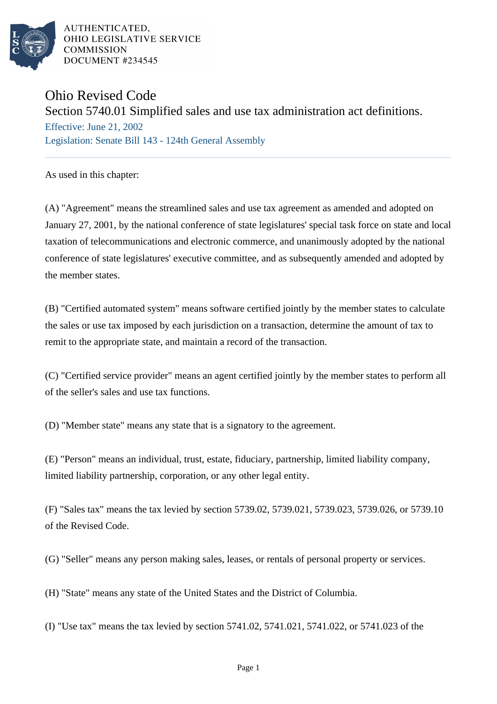

AUTHENTICATED. OHIO LEGISLATIVE SERVICE **COMMISSION** DOCUMENT #234545

## Ohio Revised Code

Section 5740.01 Simplified sales and use tax administration act definitions.

Effective: June 21, 2002 Legislation: Senate Bill 143 - 124th General Assembly

As used in this chapter:

(A) "Agreement" means the streamlined sales and use tax agreement as amended and adopted on January 27, 2001, by the national conference of state legislatures' special task force on state and local taxation of telecommunications and electronic commerce, and unanimously adopted by the national conference of state legislatures' executive committee, and as subsequently amended and adopted by the member states.

(B) "Certified automated system" means software certified jointly by the member states to calculate the sales or use tax imposed by each jurisdiction on a transaction, determine the amount of tax to remit to the appropriate state, and maintain a record of the transaction.

(C) "Certified service provider" means an agent certified jointly by the member states to perform all of the seller's sales and use tax functions.

(D) "Member state" means any state that is a signatory to the agreement.

(E) "Person" means an individual, trust, estate, fiduciary, partnership, limited liability company, limited liability partnership, corporation, or any other legal entity.

(F) "Sales tax" means the tax levied by section 5739.02, 5739.021, 5739.023, 5739.026, or 5739.10 of the Revised Code.

(G) "Seller" means any person making sales, leases, or rentals of personal property or services.

(H) "State" means any state of the United States and the District of Columbia.

(I) "Use tax" means the tax levied by section 5741.02, 5741.021, 5741.022, or 5741.023 of the